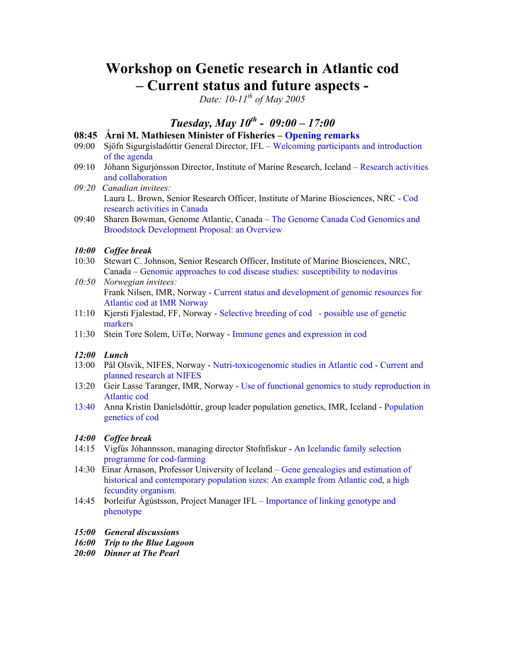# **Workshop on Genetic research in Atlantic cod – Current status and future aspects -**

*Date: 10-11th of May 2005* 

## *Tuesday, May 10th - 09:00 – 17:00*

#### **08:45 Árni M. Mathiesen Minister of Fisheries – Opening remarks**

- 09:00 Sjöfn Sigurgísladóttir General Director, IFL Welcoming participants and introduction of the agenda
- 09:10 Jóhann Sigurjónsson Director, Institute of Marine Research, Iceland Research activities and collaboration
- *09:20 Canadian invitees:*  Laura L. Brown, Senior Research Officer, Institute of Marine Biosciences, NRC - Cod research activities in Canada
- 09:40 Sharen Bowman, Genome Atlantic, Canada The Genome Canada Cod Genomics and Broodstock Development Proposal: an Overview

#### *10:00 Coffee break*

- 10:30 Stewart C. Johnson, Senior Research Officer, Institute of Marine Biosciences, NRC, Canada – Genomic approaches to cod disease studies: susceptibility to nodavirus
- *10:50 Norwegian invitees:*  Frank Nilsen, IMR, Norway - Current status and development of genomic resources for Atlantic cod at IMR Norway
- 11:10 Kjersti Fjalestad, FF, Norway Selective breeding of cod possible use of genetic markers
- 11:30 Stein Tore Solem, UiTø, Norway Immune genes and expression in cod

#### *12:00 Lunch*

- 13:00 Pål Olsvik, NIFES, Norway Nutri-toxicogenomic studies in Atlantic cod Current and planned research at NIFES
- 13:20 Geir Lasse Taranger, IMR, Norway Use of functional genomics to study reproduction in Atlantic cod
- 13:40 Anna Kristín Daníelsdóttir, group leader population genetics, IMR, Iceland Population genetics of cod

#### *14:00 Coffee break*

- 14:15 Vigfús Jóhannsson, managing director Stofnfiskur An Icelandic family selection programme for cod-farming
- 14:30 Einar Árnason, Professor University of Iceland Gene genealogies and estimation of historical and contemporary population sizes: An example from Atlantic cod, a high fecundity organism.
- 14:45 Þorleifur Ágústsson, Project Manager IFL Importance of linking genotype and phenotype
- *15:00 General discussions*
- *16:00 Trip to the Blue Lagoon*
- *20:00 Dinner at The Pearl*